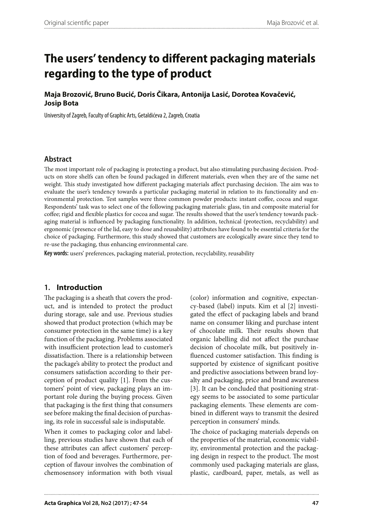**Maja Brozović, Bruno Bucić, Doris Čikara, Antonija Lasić, Dorotea Kovačević, Josip Bota**

University of Zagreb, Faculty of Graphic Arts, Getaldićeva 2, Zagreb, Croatia

#### **Abstract**

The most important role of packaging is protecting a product, but also stimulating purchasing decision. Products on store shelfs can often be found packaged in different materials, even when they are of the same net weight. This study investigated how different packaging materials affect purchasing decision. The aim was to evaluate the user's tendency towards a particular packaging material in relation to its functionality and environmental protection. Test samples were three common powder products: instant coffee, cocoa and sugar. Respondents' task was to select one of the following packaging materials: glass, tin and composite material for coffee; rigid and flexible plastics for cocoa and sugar. The results showed that the user's tendency towards packaging material is influenced by packaging functionality. In addition, technical (protection, recyclability) and ergonomic (presence of the lid, easy to dose and reusability) attributes have found to be essential criteria for the choice of packaging. Furthermore, this study showed that customers are ecologically aware since they tend to re-use the packaging, thus enhancing environmental care.

**Key words:** users' preferences, packaging material, protection, recyclability, reusability

#### **1. Introduction**

The packaging is a sheath that covers the product, and is intended to protect the product during storage, sale and use. Previous studies showed that product protection (which may be consumer protection in the same time) is a key function of the packaging. Problems associated with insufficient protection lead to customer's dissatisfaction. There is a relationship between the package's ability to protect the product and consumers satisfaction according to their perception of product quality [1]. From the customers' point of view, packaging plays an important role during the buying process. Given that packaging is the first thing that consumers see before making the final decision of purchasing, its role in successful sale is indisputable.

When it comes to packaging color and labelling, previous studies have shown that each of these attributes can affect customers' perception of food and beverages. Furthermore, perception of flavour involves the combination of chemosensory information with both visual

(color) information and cognitive, expectancy-based (label) inputs. Kim et al [2] investigated the effect of packaging labels and brand name on consumer liking and purchase intent of chocolate milk. Their results shown that organic labelling did not affect the purchase decision of chocolate milk, but positively influenced customer satisfaction. This finding is supported by existence of significant positive and predictive associations between brand loyalty and packaging, price and brand awareness [3]. It can be concluded that positioning strategy seems to be associated to some particular packaging elements. These elements are combined in different ways to transmit the desired perception in consumers' minds.

The choice of packaging materials depends on the properties of the material, economic viability, environmental protection and the packaging design in respect to the product. The most commonly used packaging materials are glass, plastic, cardboard, paper, metals, as well as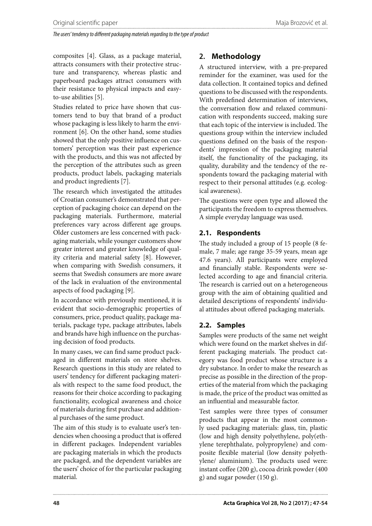composites [4]. Glass, as a package material, attracts consumers with their protective structure and transparency, whereas plastic and paperboard packages attract consumers with their resistance to physical impacts and easyto-use abilities [5].

Studies related to price have shown that customers tend to buy that brand of a product whose packaging is less likely to harm the environment [6]. On the other hand, some studies showed that the only positive influence on customers' perception was their past experience with the products, and this was not affected by the perception of the attributes such as green products, product labels, packaging materials and product ingredients [7].

The research which investigated the attitudes of Croatian consumer's demonstrated that perception of packaging choice can depend on the packaging materials. Furthermore, material preferences vary across different age groups. Older customers are less concerned with packaging materials, while younger customers show greater interest and greater knowledge of quality criteria and material safety [8]. However, when comparing with Swedish consumers, it seems that Swedish consumers are more aware of the lack in evaluation of the environmental aspects of food packaging [9].

In accordance with previously mentioned, it is evident that socio-demographic properties of consumers, price, product quality, package materials, package type, package attributes, labels and brands have high influence on the purchasing decision of food products.

In many cases, we can find same product packaged in different materials on store shelves. Research questions in this study are related to users' tendency for different packaging materials with respect to the same food product, the reasons for their choice according to packaging functionality, ecological awareness and choice of materials during first purchase and additional purchases of the same product.

The aim of this study is to evaluate user's tendencies when choosing a product that is offered in different packages. Independent variables are packaging materials in which the products are packaged, and the dependent variables are the users' choice of for the particular packaging material.

# **2. Methodology**

A structured interview, with a pre-prepared reminder for the examiner, was used for the data collection. It contained topics and defined questions to be discussed with the respondents. With predefined determination of interviews, the conversation flow and relaxed communication with respondents succeed, making sure that each topic of the interview is included. The questions group within the interview included questions defined on the basis of the respondents' impression of the packaging material itself, the functionality of the packaging, its quality, durability and the tendency of the respondents toward the packaging material with respect to their personal attitudes (e.g. ecological awareness).

The questions were open type and allowed the participants the freedom to express themselves. A simple everyday language was used.

## **2.1. Respondents**

The study included a group of 15 people (8 female, 7 male; age range 35-59 years, mean age 47.6 years). All participants were employed and financially stable. Respondents were selected according to age and financial criteria. The research is carried out on a heterogeneous group with the aim of obtaining qualitied and detailed descriptions of respondents' individual attitudes about offered packaging materials.

### **2.2. Samples**

Samples were products of the same net weight which were found on the market shelves in different packaging materials. The product category was food product whose structure is a dry substance. In order to make the research as precise as possible in the direction of the properties of the material from which the packaging is made, the price of the product was omitted as an influential and measurable factor.

Test samples were three types of consumer products that appear in the most commonly used packaging materials: glass, tin, plastic (low and high density polyethylene, poly(ethylene terephthalate, polypropylene) and composite flexible material (low density polyethylene/ aluminium). The products used were: instant coffee (200 g), cocoa drink powder (400 g) and sugar powder (150 g).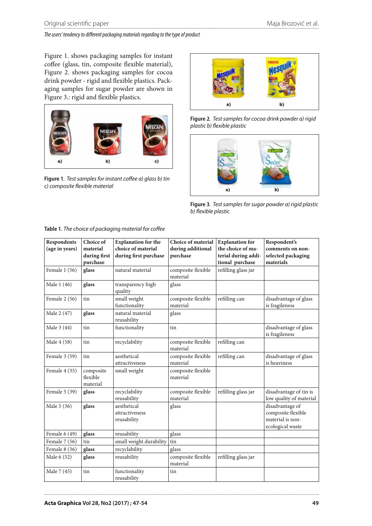Figure 1. shows packaging samples for instant coffee (glass, tin, composite flexible material), Figure 2. shows packaging samples for cocoa drink powder - rigid and flexible plastics. Packaging samples for sugar powder are shown in Figure 3.: rigid and flexible plastics.



**Figure 1***. Test samples for instant coffee a) glass b) tin c) composite flexible material*



**Figure 2***. Test samples for cocoa drink powder a) rigid plastic b) flexible plastic*



**Figure 3***. Test samples for sugar powder a) rigid plastic b) flexible plastic*

| Respondents<br>(age in years) | Choice of<br>material<br>during first | <b>Explanation for the</b><br>choice of material<br>during first purchase | <b>Choice of material</b><br>during additional<br>purchase | <b>Explanation</b> for<br>the choice of ma-<br>terial during addi- | Respondent's<br>comments on non-<br>selected packaging                        |
|-------------------------------|---------------------------------------|---------------------------------------------------------------------------|------------------------------------------------------------|--------------------------------------------------------------------|-------------------------------------------------------------------------------|
|                               | purchase                              |                                                                           |                                                            | tional purchase                                                    | materials                                                                     |
| Female 1 (56)                 | glass                                 | natural material                                                          | composite flexible<br>material                             | refilling glass jar                                                |                                                                               |
| Male 1 (46)                   | glass                                 | transparency high<br>quality                                              | glass                                                      |                                                                    |                                                                               |
| Female 2 (56)                 | tin                                   | small weight<br>functionality                                             | composite flexible<br>material                             | refilling can                                                      | disadvantage of glass<br>is fragileness                                       |
| Male 2 (47)                   | glass                                 | natural material<br>reusability                                           | glass                                                      |                                                                    |                                                                               |
| Male 3 (44)                   | tin                                   | functionality                                                             | tin                                                        |                                                                    | disadvantage of glass<br>is fragileness                                       |
| Male 4 (58)                   | tin                                   | recyclability                                                             | composite flexible<br>material                             | refilling can                                                      |                                                                               |
| Female 3 (59)                 | tin                                   | aesthetical<br>attractiveness                                             | composite flexible<br>material                             | refilling can                                                      | disadvantage of glass<br>is heaviness                                         |
| Female 4 (35)                 | composite<br>flexible<br>material     | small weight                                                              | composite flexible<br>material                             |                                                                    |                                                                               |
| Female 5 (39)                 | glass                                 | recyclability<br>reusability                                              | composite flexible<br>material                             | refilling glass jar                                                | disadvantage of tin is<br>low quality of material                             |
| Male 5 (36)                   | glass                                 | aesthetical<br>attractiveness<br>reusability                              | glass                                                      |                                                                    | disadvantage of<br>composite flexible<br>material is non-<br>ecological waste |
| Female 6 (49)                 | glass                                 | reusability                                                               | glass                                                      |                                                                    |                                                                               |
| Female 7 (56)                 | tin                                   | small weight durability                                                   | tin                                                        |                                                                    |                                                                               |
| Female $8(36)$                | glass                                 | recyclability                                                             | glass                                                      |                                                                    |                                                                               |
| Male 6 (52)                   | glass                                 | reusability                                                               | composite flexible<br>material                             | refilling glass jar                                                |                                                                               |
| Male 7 (45)                   | tin                                   | functionality<br>reusability                                              | tin                                                        |                                                                    |                                                                               |

**Table 1***. The choice of packaging material for coffee*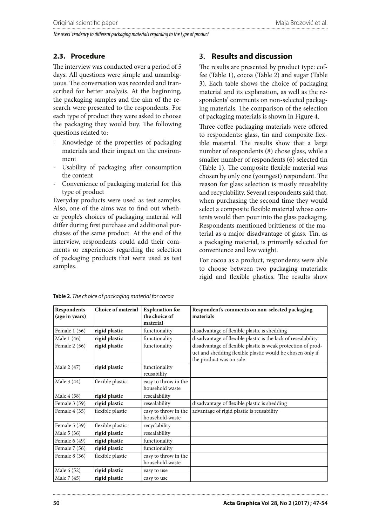### **2.3. Procedure**

The interview was conducted over a period of 5 days. All questions were simple and unambiguous. The conversation was recorded and transcribed for better analysis. At the beginning, the packaging samples and the aim of the research were presented to the respondents. For each type of product they were asked to choose the packaging they would buy. The following questions related to:

- Knowledge of the properties of packaging materials and their impact on the environment
- Usability of packaging after consumption the content
- Convenience of packaging material for this type of product

Everyday products were used as test samples. Also, one of the aims was to find out whether people's choices of packaging material will differ during first purchase and additional purchases of the same product. At the end of the interview, respondents could add their comments or experiences regarding the selection of packaging products that were used as test samples.

# **3. Results and discussion**

The results are presented by product type: coffee (Table 1), cocoa (Table 2) and sugar (Table 3). Each table shows the choice of packaging material and its explanation, as well as the respondents' comments on non-selected packaging materials. The comparison of the selection of packaging materials is shown in Figure 4.

Three coffee packaging materials were offered to respondents: glass, tin and composite flexible material. The results show that a large number of respondents (8) chose glass, while a smaller number of respondents (6) selected tin (Table 1). The composite flexible material was chosen by only one (youngest) respondent. The reason for glass selection is mostly reusability and recyclability. Several respondents said that, when purchasing the second time they would select a composite flexible material whose contents would then pour into the glass packaging. Respondents mentioned brittleness of the material as a major disadvantage of glass. Tin, as a packaging material, is primarily selected for convenience and low weight.

For cocoa as a product, respondents were able to choose between two packaging materials: rigid and flexible plastics. The results show

| Respondents<br>(age in years) | Choice of material | <b>Explanation</b> for<br>the choice of<br>material | Respondent's comments on non-selected packaging<br>materials                                                                                         |
|-------------------------------|--------------------|-----------------------------------------------------|------------------------------------------------------------------------------------------------------------------------------------------------------|
| Female 1 (56)                 | rigid plastic      | functionality                                       | disadvantage of flexible plastic is shedding                                                                                                         |
| Male 1 (46)                   | rigid plastic      | functionality                                       | disadvantage of flexible plastic is the lack of resealability                                                                                        |
| Female $2(56)$                | rigid plastic      | functionality                                       | disadvantage of flexible plastic is weak protection of prod-<br>uct and shedding flexible plastic would be chosen only if<br>the product was on sale |
| Male 2 (47)                   | rigid plastic      | functionality<br>reusability                        |                                                                                                                                                      |
| Male 3 (44)                   | flexible plastic   | easy to throw in the<br>household waste             |                                                                                                                                                      |
| Male 4 (58)                   | rigid plastic      | resealability                                       |                                                                                                                                                      |
| Female 3 (59)                 | rigid plastic      | resealability                                       | disadvantage of flexible plastic is shedding                                                                                                         |
| Female 4 (35)                 | flexible plastic   | easy to throw in the<br>household waste             | advantage of rigid plastic is reusability                                                                                                            |
| Female 5 (39)                 | flexible plastic   | recyclability                                       |                                                                                                                                                      |
| Male 5 (36)                   | rigid plastic      | resealability                                       |                                                                                                                                                      |
| Female $6(49)$                | rigid plastic      | functionality                                       |                                                                                                                                                      |
| Female 7 (56)                 | rigid plastic      | functionality                                       |                                                                                                                                                      |
| Female 8 (36)                 | flexible plastic   | easy to throw in the<br>household waste             |                                                                                                                                                      |
| Male 6 (52)                   | rigid plastic      | easy to use                                         |                                                                                                                                                      |
| Male 7 (45)                   | rigid plastic      | easy to use                                         |                                                                                                                                                      |

**Table 2***. The choice of packaging material for cocoa*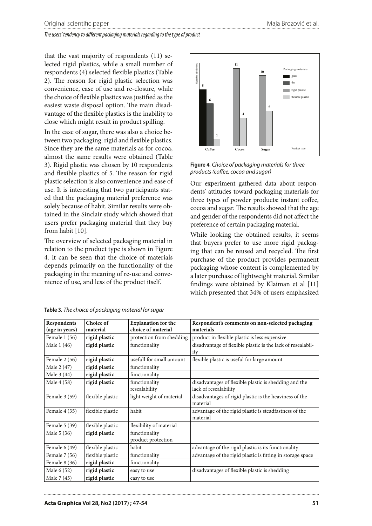that the vast majority of respondents (11) selected rigid plastics, while a small number of respondents (4) selected flexible plastics (Table 2). The reason for rigid plastic selection was convenience, ease of use and re-closure, while the choice of flexible plastics was justified as the easiest waste disposal option. The main disadvantage of the flexible plastics is the inability to close which might result in product spilling.

In the case of sugar, there was also a choice between two packaging: rigid and flexible plastics. Since they are the same materials as for cocoa, almost the same results were obtained (Table 3). Rigid plastic was chosen by 10 respondents and flexible plastics of 5. The reason for rigid plastic selection is also convenience and ease of use. It is interesting that two participants stated that the packaging material preference was solely because of habit. Similar results were obtained in the Sinclair study which showed that users prefer packaging material that they buy from habit [10].

The overview of selected packaging material in relation to the product type is shown in Figure 4. It can be seen that the choice of materials depends primarily on the functionality of the packaging in the meaning of re-use and convenience of use, and less of the product itself.



**Figure 4***. Choice of packaging materials for three products (coffee, cocoa and sugar)*

Our experiment gathered data about respondents' attitudes toward packaging materials for three types of powder products: instant coffee, cocoa and sugar. The results showed that the age and gender of the respondents did not affect the preference of certain packaging material.

While looking the obtained results, it seems that buyers prefer to use more rigid packaging that can be reused and recycled. The first purchase of the product provides permanent packaging whose content is complemented by a later purchase of lightweight material. Similar findings were obtained by Klaiman et al [11] which presented that 34% of users emphasized

| Respondents    | Choice of        | <b>Explanation for the</b> | Respondent's comments on non-selected packaging             |
|----------------|------------------|----------------------------|-------------------------------------------------------------|
| (age in years) | material         | choice of material         | materials                                                   |
| Female 1 (56)  | rigid plastic    | protection from shedding   | product in flexible plastic is less expensive               |
| Male 1 (46)    | rigid plastic    | functionality              | disadvantage of flexible plastic is the lack of resealabil- |
|                |                  |                            | ity                                                         |
| Female 2 (56)  | rigid plastic    | usefull for small amount   | flexible plastic is useful for large amount                 |
| Male 2 (47)    | rigid plastic    | functionality              |                                                             |
| Male 3 (44)    | rigid plastic    | functionality              |                                                             |
| Male 4 (58)    | rigid plastic    | functionality              | disadvantages of flexible plastic is shedding and the       |
|                |                  | resealability              | lack of resealability                                       |
| Female 3 (59)  | flexible plastic | light weight of material   | disadvantages of rigid plastic is the heaviness of the      |
|                |                  |                            | material                                                    |
| Female 4 (35)  | flexible plastic | habit                      | advantage of the rigid plastic is steadfastness of the      |
|                |                  |                            | material                                                    |
| Female 5 (39)  | flexible plastic | flexibility of material    |                                                             |
| Male 5 (36)    | rigid plastic    | functionality              |                                                             |
|                |                  | product protection         |                                                             |
| Female $6(49)$ | flexible plastic | habit                      | advantage of the rigid plastic is its functionality         |
| Female 7 (56)  | flexible plastic | functionality              | advantage of the rigid plastic is fitting in storage space  |
| Female 8 (36)  | rigid plastic    | functionality              |                                                             |
| Male 6 (52)    | rigid plastic    | easy to use                | disadvantages of flexible plastic is shedding               |
| Male 7 (45)    | rigid plastic    | easy to use                |                                                             |

**Table 3***. The choice of packaging material for sugar*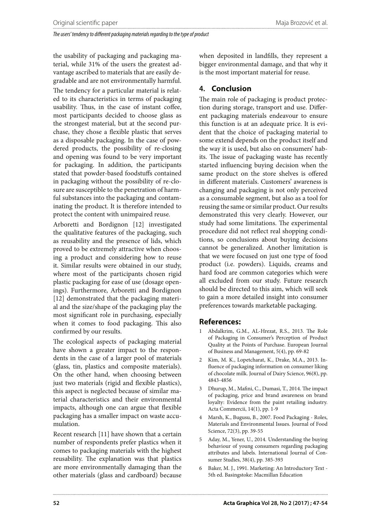the usability of packaging and packaging material, while 31% of the users the greatest advantage ascribed to materials that are easily degradable and are not environmentally harmful. The tendency for a particular material is related to its characteristics in terms of packaging usability. Thus, in the case of instant coffee, most participants decided to choose glass as the strongest material, but at the second purchase, they chose a flexible plastic that serves as a disposable packaging. In the case of powdered products, the possibility of re-closing and opening was found to be very important for packaging. In addition, the participants stated that powder-based foodstuffs contained in packaging without the possibility of re-closure are susceptible to the penetration of harmful substances into the packaging and contaminating the product. It is therefore intended to protect the content with unimpaired reuse.

Arboretti and Bordignon [12] investigated the qualitative features of the packaging, such as reusability and the presence of lids, which proved to be extremely attractive when choosing a product and considering how to reuse it. Similar results were obtained in our study, where most of the participants chosen rigid plastic packaging for ease of use (dosage openings). Furthermore, Arboretti and Bordignon [12] demonstrated that the packaging material and the size/shape of the packaging play the most significant role in purchasing, especially when it comes to food packaging. This also confirmed by our results.

The ecological aspects of packaging material have shown a greater impact to the respondents in the case of a larger pool of materials (glass, tin, plastics and composite materials). On the other hand, when choosing between just two materials (rigid and flexible plastics), this aspect is neglected because of similar material characteristics and their environmental impacts, although one can argue that flexible packaging has a smaller impact on waste accumulation.

Recent research [11] have shown that a certain number of respondents prefer plastics when it comes to packaging materials with the highest reusability. The explanation was that plastics are more environmentally damaging than the other materials (glass and cardboard) because

when deposited in landfills, they represent a bigger environmental damage, and that why it is the most important material for reuse.

## **4. Conclusion**

The main role of packaging is product protection during storage, transport and use. Different packaging materials endeavour to ensure this function is at an adequate price. It is evident that the choice of packaging material to some extend depends on the product itself and the way it is used, but also on consumers' habits. The issue of packaging waste has recently started influencing buying decision when the same product on the store shelves is offered in different materials. Customers' awareness is changing and packaging is not only perceived as a consumable segment, but also as a tool for reusing the same or similar product. Our results demonstrated this very clearly. However, our study had some limitations. The experimental procedure did not reflect real shopping conditions, so conclusions about buying decisions cannot be generalized. Another limitation is that we were focused on just one type of food product (i.e. powders). Liquids, creams and hard food are common categories which were all excluded from our study. Future research should be directed to this aim, which will seek to gain a more detailed insight into consumer preferences towards marketable packaging.

### **References:**

- 1 Abdalkrim, G.M., AL-Hrezat, R.S., 2013. The Role of Packaging in Consumer's Perception of Product Quality at the Points of Purchase. European Journal of Business and Management, 5(4), pp. 69-82
- 2 Kim, M. K., Lopetcharat, K., Drake, M.A., 2013. Influence of packaging information on consumer liking of chocolate milk. Journal of Dairy Science, 96(8), pp. 4843-4856
- 3 Dhurup, M., Mafini, C., Dumasi, T., 2014. The impact of packaging, price and brand awareness on brand loyalty: Evidence from the paint retailing industry. Acta Commercii, 14(1), pp. 1-9
- 4 Marsh, K., Bugusu, B., 2007. Food Packaging Roles, Materials and Environmental Issues. Journal of Food Science, 72(3), pp. 39-55
- 5 Aday, M., Yener, U., 2014. Understanding the buying behaviour of young consumers regarding packaging attributes and labels. International Journal of Consumer Studies, 38(4), pp. 385-393
- 6 Baker, M. J., 1991. Marketing: An Introductory Text 5th ed. Basingstoke: Macmillan Education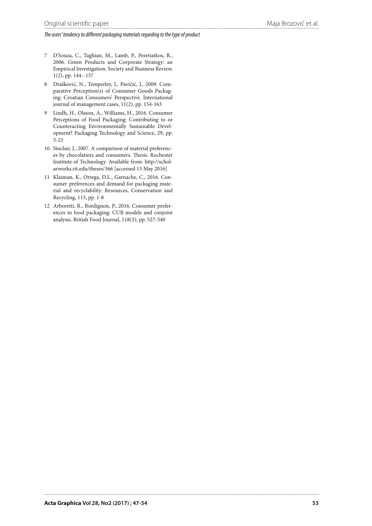- 7 D'Souza, C., Taghian, M., Lamb, P., Peretiatkos, R., 2006. Green Products and Corporate Strategy: an Empirical Investigation. Society and Business Review, 1(2), pp. 144– 157
- 8 Drašković, N., Temperley, J., Pavičić, J., 2009. Comparative Perception(s) of Consumer Goods Packaging: Croatian Consumers' Perspective. International journal of management cases, 11(2), pp. 154-163
- 9 Lindh, H., Olsson, A., Williams, H., 2016. Consumer Perceptions of Food Packaging: Contributing to or Counteracting Environmentally Sustainable Development? Packaging Technology and Science, 29, pp. 3-23
- 10 Sinclair, J., 2007. A comparison of material preferences by chocolatiers and consumers. Thesis. Rochester Institute of Technology. Available from: http://scholarworks.rit.edu/theses/366 [accessed 15 May 2016]
- 11 Klaiman, K., Ortega, D.L., Garnache, C., 2016. Consumer preferences and demand for packaging material and recyclability. Resources, Conservation and Recycling, 115, pp. 1-8
- 12 Arboretti, R., Bordignon, P., 2016. Consumer preferences in food packaging: CUB models and conjoint analysis. British Food Journal, 118(3), pp. 527-540